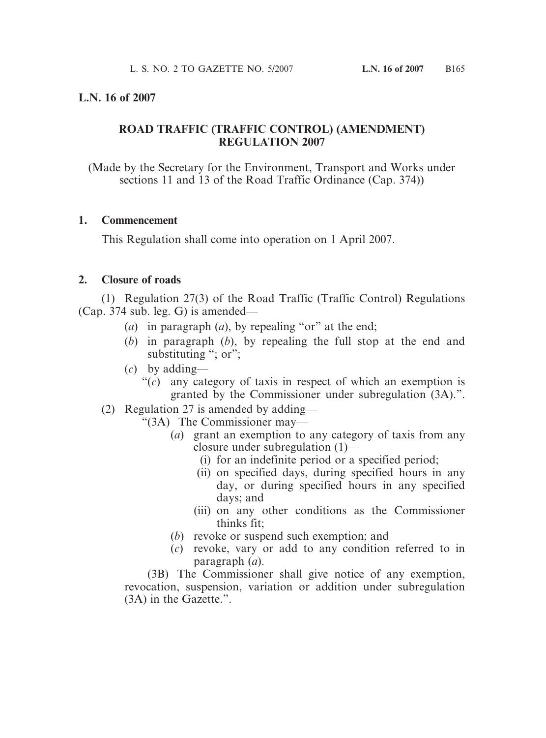## **L.N. 16 of 2007**

## **ROAD TRAFFIC (TRAFFIC CONTROL) (AMENDMENT) REGULATION 2007**

(Made by the Secretary for the Environment, Transport and Works under sections 11 and 13 of the Road Traffic Ordinance (Cap. 374))

#### **1. Commencement**

This Regulation shall come into operation on 1 April 2007.

## **2. Closure of roads**

(1) Regulation 27(3) of the Road Traffic (Traffic Control) Regulations (Cap. 374 sub. leg. G) is amended—

- (*a*) in paragraph (*a*), by repealing "or" at the end;
- (*b*) in paragraph (*b*), by repealing the full stop at the end and substituting "; or";
- (*c*) by adding—
	- "(*c*) any category of taxis in respect of which an exemption is granted by the Commissioner under subregulation (3A).".
- (2) Regulation 27 is amended by adding—
	- "(3A) The Commissioner may—
		- (*a*) grant an exemption to any category of taxis from any closure under subregulation (1)—
			- (i) for an indefinite period or a specified period;
			- (ii) on specified days, during specified hours in any day, or during specified hours in any specified days; and
			- (iii) on any other conditions as the Commissioner thinks fit;
		- (*b*) revoke or suspend such exemption; and
		- (*c*) revoke, vary or add to any condition referred to in paragraph (*a*).

(3B) The Commissioner shall give notice of any exemption, revocation, suspension, variation or addition under subregulation (3A) in the Gazette.".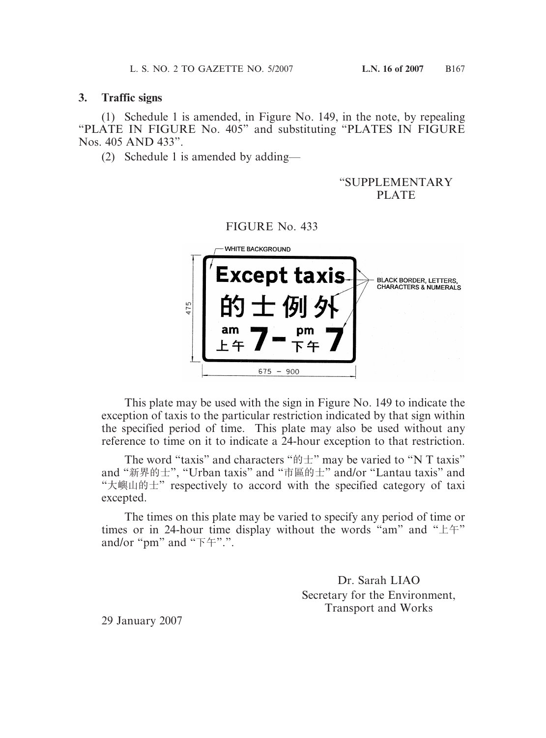#### **3. Traffic signs**

(1) Schedule 1 is amended, in Figure No. 149, in the note, by repealing "PLATE IN FIGURE No. 405" and substituting "PLATES IN FIGURE Nos. 405 AND 433".

FIGURE No. 433

(2) Schedule 1 is amended by adding—

## "SUPPLEMENTARY PLATE

|     | <b>WHITE BACKGROUND</b>           |                                                                   |
|-----|-----------------------------------|-------------------------------------------------------------------|
| 475 | <b>Except taxis-</b><br>士例外<br>am | <b>BLACK BORDER, LETTERS,</b><br><b>CHARACTERS &amp; NUMERALS</b> |
|     | 675<br>-900                       |                                                                   |

This plate may be used with the sign in Figure No. 149 to indicate the exception of taxis to the particular restriction indicated by that sign within the specified period of time. This plate may also be used without any reference to time on it to indicate a 24-hour exception to that restriction.

The word "taxis" and characters " $\mathfrak{h} \pm$ " may be varied to "N T taxis" and "新界的士", "Urban taxis" and "市區的士" and/or "Lantau taxis" and "大嶼山的士" respectively to accord with the specified category of taxi excepted.

The times on this plate may be varied to specify any period of time or times or in 24-hour time display without the words "am" and "上午" and/or "pm" and "下午".".

> Dr. Sarah LIAO Secretary for the Environment, Transport and Works

29 January 2007